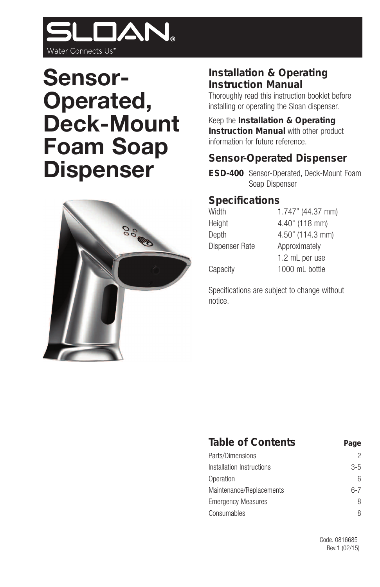

# **Sensor-Operated, Deck-Mount Foam Soap Dispenser**



### **Installation & Operating Instruction Manual**

Thoroughly read this instruction booklet before installing or operating the Sloan dispenser.

Keep the **Installation & Operating Instruction Manual** with other product information for future reference.

### **Sensor-Operated Dispenser**

**ESD-400** Sensor-Operated, Deck-Mount Foam Soap Dispenser

#### **Specifications**

| Width          | 1.747" (44.37 mm) |  |
|----------------|-------------------|--|
| Height         | 4.40" (118 mm)    |  |
| Depth          | 4.50" (114.3 mm)  |  |
| Dispenser Rate | Approximately     |  |
|                | 1.2 mL per use    |  |
| Capacity       | 1000 mL bottle    |  |

Specifications are subject to change without notice.

| Table of Contents         |     |
|---------------------------|-----|
| Parts/Dimensions          | 2   |
| Installation Instructions | 3-5 |
| Operation                 | հ   |
| Maintenance/Replacements  | հ-7 |
| <b>Emergency Measures</b> | 8   |
| Consumables               | 8   |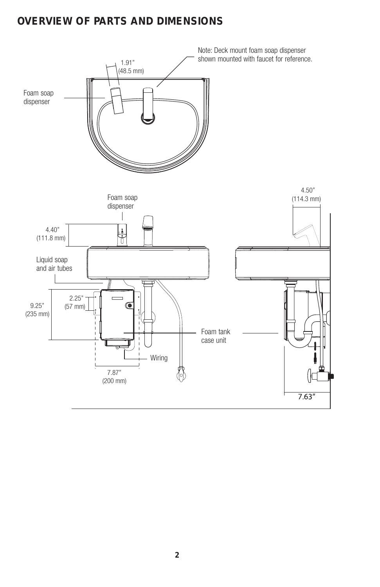# **OVERVIEW OF PARTS AND DIMENSIONS**

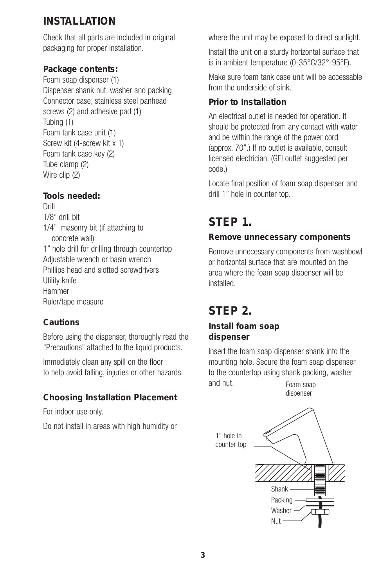# **INSTALLATION**

Check that all parts are included in original packaging for proper installation.

**Package contents:** Foam soap dispenser (1) Dispenser shank nut, washer and packing Connector case, stainless steel panhead screws (2) and adhesive pad (1) Tubing (1) Foam tank case unit (1) Screw kit (4-screw kit x 1) Foam tank case key (2) Tube clamp (2) Wire clip (2)

**Tools needed:** Drill 1/8" drill bit 1/4" masonry bit (if attaching to concrete wall) 1" hole drill for drilling through countertop Adjustable wrench or basin wrench Phillips head and slotted screwdrivers Utility knife Hammer Ruler/tape measure

#### **Cautions**

Before using the dispenser, thoroughly read the "Precautions" attached to the liquid products.

Immediately clean any spill on the floor to help avoid falling, injuries or other hazards.

**Choosing Installation Placement**

For indoor use only.

Do not install in areas with high humidity or

where the unit may be exposed to direct sunlight.

Install the unit on a sturdy horizontal surface that is in ambient temperature (0-35°C/32°-95°F).

Make sure foam tank case unit will be accessable from the underside of sink.

### **Prior to Installation**

An electrical outlet is needed for operation. It should be protected from any contact with water and be within the range of the power cord (approx. 70".) If no outlet is available, consult licensed electrician. (GFI outlet suggested per code.)

Locate final position of foam soap dispenser and drill 1" hole in counter top.

# **STEP 1.**

#### **Remove unnecessary components**

Remove unnecessary components from washbowl or horizontal surface that are mounted on the area where the foam soap dispenser will be installed.

# **STEP 2.**

**Install foam soap dispenser**

Insert the foam soap dispenser shank into the mounting hole. Secure the foam soap dispenser to the countertop using shank packing, washer

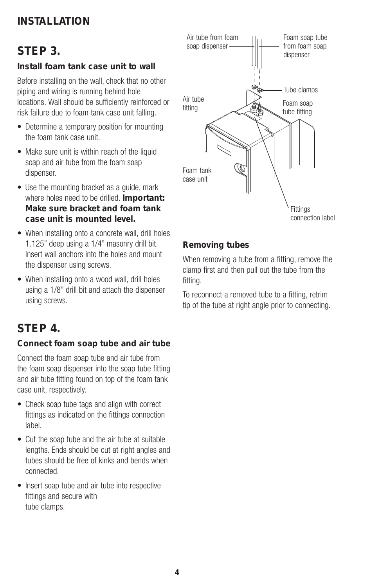# **INSTALLATION**

# **STEP 3.**

**Install foam tank case unit to wall**

Before installing on the wall, check that no other piping and wiring is running behind hole locations. Wall should be sufficiently reinforced or risk failure due to foam tank case unit falling.

- Determine a temporary position for mounting the foam tank case unit.
- Make sure unit is within reach of the liquid soap and air tube from the foam soap dispenser.
- Use the mounting bracket as a quide, mark where holes need to be drilled. **Important: Make sure bracket and foam tank case unit is mounted level.**
- When installing onto a concrete wall, drill holes 1.125" deep using a 1/4" masonry drill bit. Insert wall anchors into the holes and mount the dispenser using screws.
- When installing onto a wood wall, drill holes using a 1/8" drill bit and attach the dispenser using screws.

# **STEP 4.**

#### **Connect foam soap tube and air tube**

Connect the foam soap tube and air tube from the foam soap dispenser into the soap tube fitting and air tube fitting found on top of the foam tank case unit, respectively.

- Check soap tube tags and align with correct fittings as indicated on the fittings connection label.
- Cut the soap tube and the air tube at suitable lengths. Ends should be cut at right angles and tubes should be free of kinks and bends when connected.
- Insert soap tube and air tube into respective fittings and secure with tube clamps.



#### **Removing tubes**

When removing a tube from a fitting, remove the clamp first and then pull out the tube from the fitting.

To reconnect a removed tube to a fitting, retrim tip of the tube at right angle prior to connecting.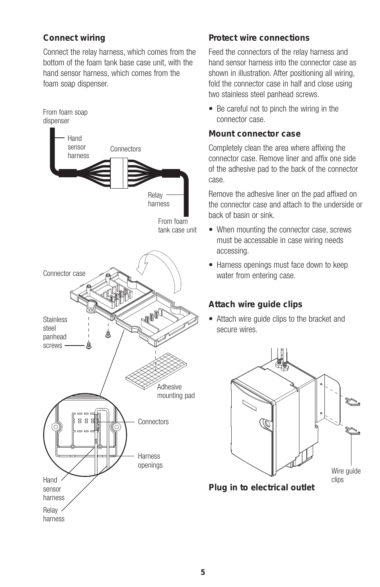#### **Connect wiring**

Connect the relay harness, which comes from the bottom of the foam tank base case unit, with the hand sensor harness, which comes from the foam soap dispenser.



#### **Protect wire connections**

Feed the connectors of the relay harness and hand sensor harness into the connector case as shown in illustration. After positioning all wiring, fold the connector case in half and close using two stainless steel panhead screws.

• Be careful not to pinch the wiring in the connector case.

#### **Mount connector case**

Completely clean the area where affixing the connector case. Remove liner and affix one side of the adhesive pad to the back of the connector case.

Remove the adhesive liner on the pad affixed on the connector case and attach to the underside or back of basin or sink.

- When mounting the connector case, screws must be accessable in case wiring needs accessing.
- Harness openings must face down to keep water from entering case.

#### **Attach wire guide clips**

• Attach wire guide clips to the bracket and secure wires.



**Plug in to electrical outlet**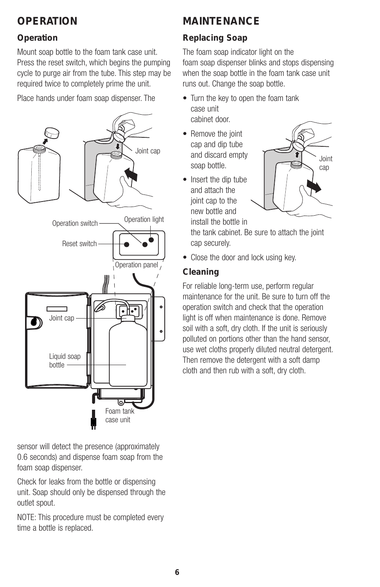# **OPERATION**

### **Operation**

Mount soap bottle to the foam tank case unit. Press the reset switch, which begins the pumping cycle to purge air from the tube. This step may be required twice to completely prime the unit.

Place hands under foam soap dispenser. The



sensor will detect the presence (approximately 0.6 seconds) and dispense foam soap from the foam soap dispenser.

Check for leaks from the bottle or dispensing unit. Soap should only be dispensed through the outlet spout.

NOTE: This procedure must be completed every time a bottle is replaced.

# **MAINTENANCE**

### **Replacing Soap**

The foam soap indicator light on the foam soap dispenser blinks and stops dispensing when the soap bottle in the foam tank case unit runs out. Change the soap bottle.

- Turn the key to open the foam tank case unit cabinet door.
- Remove the joint cap and dip tube and discard empty soap bottle.
- Insert the dip tube and attach the joint cap to the new bottle and install the bottle in



the tank cabinet. Be sure to attach the joint cap securely.

• Close the door and lock using key.

#### **Cleaning**

For reliable long-term use, perform regular maintenance for the unit. Be sure to turn off the operation switch and check that the operation light is off when maintenance is done. Remove soil with a soft, dry cloth. If the unit is seriously polluted on portions other than the hand sensor, use wet cloths properly diluted neutral detergent. Then remove the detergent with a soft damp cloth and then rub with a soft, dry cloth.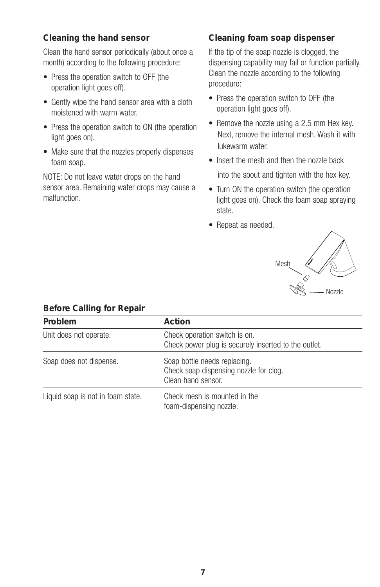#### **Cleaning the hand sensor**

Clean the hand sensor periodically (about once a month) according to the following procedure:

- Press the operation switch to OFF (the operation light goes off).
- Gently wipe the hand sensor area with a cloth moistened with warm water.
- Press the operation switch to ON (the operation light goes on).
- Make sure that the nozzles properly dispenses foam soap.

NOTE: Do not leave water drops on the hand sensor area. Remaining water drops may cause a malfunction.

#### **Cleaning foam soap dispenser**

If the tip of the soap nozzle is clogged, the dispensing capability may fail or function partially. Clean the nozzle according to the following procedure:

- Press the operation switch to OFF (the operation light goes off).
- Remove the nozzle using a 2.5 mm Hex key. Next, remove the internal mesh. Wash it with lukewarm water.
- Insert the mesh and then the nozzle back into the spout and tighten with the hex key.
- Turn ON the operation switch (the operation light goes on). Check the foam soap spraying state.
- Repeat as needed.



| bororo carin'ig ror repair        |                                                                                              |  |
|-----------------------------------|----------------------------------------------------------------------------------------------|--|
| Problem                           | Action                                                                                       |  |
| Unit does not operate.            | Check operation switch is on.<br>Check power plug is securely inserted to the outlet.        |  |
| Soap does not dispense.           | Soap bottle needs replacing.<br>Check soap dispensing nozzle for clog.<br>Clean hand sensor. |  |
| Liquid soap is not in foam state. | Check mesh is mounted in the<br>foam-dispensing nozzle.                                      |  |

#### **Before Calling for Repair**